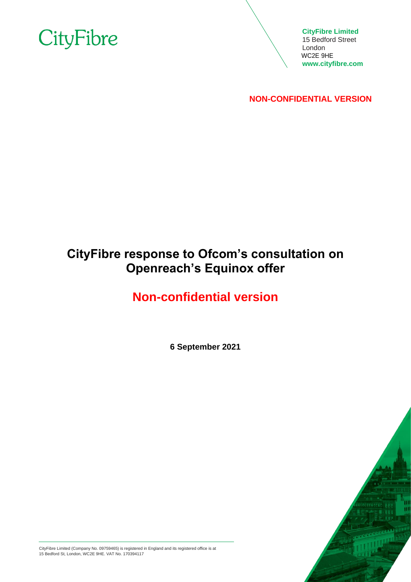

**CityFibre Limited** 15 Bedford Street London WC2E 9HE **[www.cityfibre.com](http://www.cityfibre.com/)**

**NON-CONFIDENTIAL VERSION**

# **CityFibre response to Ofcom's consultation on Openreach's Equinox offer**

# **Non-confidential version**

**6 September 2021**



CityFibre Limited (Company No. 09759465) is registered in England and its registered office is at 15 Bedford St, London, WC2E 9HE. VAT No. 170394117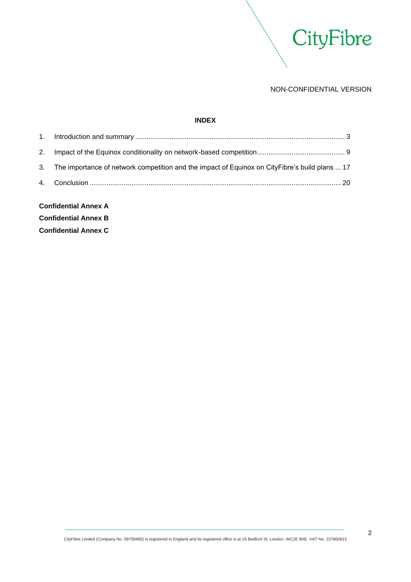

# **INDEX**

| <b>Confidential Annex A</b> |                                                                                                   |  |
|-----------------------------|---------------------------------------------------------------------------------------------------|--|
|                             |                                                                                                   |  |
|                             | 3. The importance of network competition and the impact of Equinox on CityFibre's build plans  17 |  |
|                             |                                                                                                   |  |
|                             |                                                                                                   |  |

**Confidential Annex B Confidential Annex C**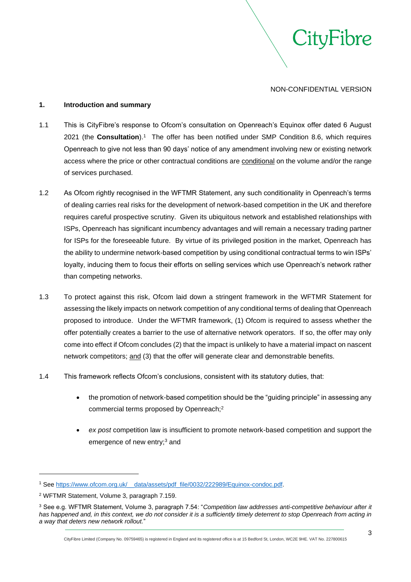

## <span id="page-2-0"></span>**1. Introduction and summary**

- 1.1 This is CityFibre's response to Ofcom's consultation on Openreach's Equinox offer dated 6 August 2021 (the **Consultation**).<sup>1</sup> The offer has been notified under SMP Condition 8.6, which requires Openreach to give not less than 90 days' notice of any amendment involving new or existing network access where the price or other contractual conditions are conditional on the volume and/or the range of services purchased.
- 1.2 As Ofcom rightly recognised in the WFTMR Statement, any such conditionality in Openreach's terms of dealing carries real risks for the development of network-based competition in the UK and therefore requires careful prospective scrutiny. Given its ubiquitous network and established relationships with ISPs, Openreach has significant incumbency advantages and will remain a necessary trading partner for ISPs for the foreseeable future. By virtue of its privileged position in the market, Openreach has the ability to undermine network-based competition by using conditional contractual terms to win ISPs' loyalty, inducing them to focus their efforts on selling services which use Openreach's network rather than competing networks.
- 1.3 To protect against this risk, Ofcom laid down a stringent framework in the WFTMR Statement for assessing the likely impacts on network competition of any conditional terms of dealing that Openreach proposed to introduce. Under the WFTMR framework, (1) Ofcom is required to assess whether the offer potentially creates a barrier to the use of alternative network operators. If so, the offer may only come into effect if Ofcom concludes (2) that the impact is unlikely to have a material impact on nascent network competitors; and (3) that the offer will generate clear and demonstrable benefits.
- 1.4 This framework reflects Ofcom's conclusions, consistent with its statutory duties, that:
	- the promotion of network-based competition should be the "guiding principle" in assessing any commercial terms proposed by Openreach;<sup>2</sup>
	- *ex post* competition law is insufficient to promote network-based competition and support the emergence of new entry;<sup>3</sup> and

<sup>1</sup> See [https://www.ofcom.org.uk/\\_\\_data/assets/pdf\\_file/0032/222989/Equinox-condoc.pdf.](https://www.ofcom.org.uk/__data/assets/pdf_file/0032/222989/Equinox-condoc.pdf) 

<sup>2</sup> WFTMR Statement, Volume 3, paragraph 7.159.

<sup>3</sup> See e.g. WFTMR Statement, Volume 3, paragraph 7.54: "*Competition law addresses anti-competitive behaviour after it has happened and, in this context, we do not consider it is a sufficiently timely deterrent to stop Openreach from acting in a way that deters new network rollout.*"

CityFibre Limited (Company No. 09759465) is registered in England and its registered office is at 15 Bedford St, London, WC2E 9HE. VAT No. 227800615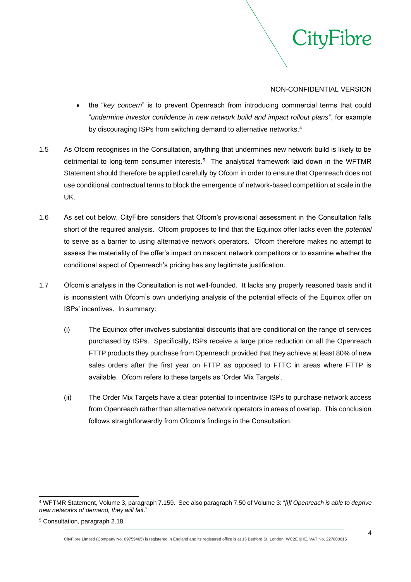

- the "*key concern*" is to prevent Openreach from introducing commercial terms that could "*undermine investor confidence in new network build and impact rollout plans*", for example by discouraging ISPs from switching demand to alternative networks.<sup>4</sup>
- 1.5 As Ofcom recognises in the Consultation, anything that undermines new network build is likely to be detrimental to long-term consumer interests.<sup>5</sup> The analytical framework laid down in the WFTMR Statement should therefore be applied carefully by Ofcom in order to ensure that Openreach does not use conditional contractual terms to block the emergence of network-based competition at scale in the UK.
- 1.6 As set out below, CityFibre considers that Ofcom's provisional assessment in the Consultation falls short of the required analysis. Ofcom proposes to find that the Equinox offer lacks even the *potential*  to serve as a barrier to using alternative network operators. Ofcom therefore makes no attempt to assess the materiality of the offer's impact on nascent network competitors or to examine whether the conditional aspect of Openreach's pricing has any legitimate justification.
- 1.7 Ofcom's analysis in the Consultation is not well-founded. It lacks any properly reasoned basis and it is inconsistent with Ofcom's own underlying analysis of the potential effects of the Equinox offer on ISPs' incentives. In summary:
	- (i) The Equinox offer involves substantial discounts that are conditional on the range of services purchased by ISPs. Specifically, ISPs receive a large price reduction on all the Openreach FTTP products they purchase from Openreach provided that they achieve at least 80% of new sales orders after the first year on FTTP as opposed to FTTC in areas where FTTP is available. Ofcom refers to these targets as 'Order Mix Targets'.
	- (ii) The Order Mix Targets have a clear potential to incentivise ISPs to purchase network access from Openreach rather than alternative network operators in areas of overlap. This conclusion follows straightforwardly from Ofcom's findings in the Consultation.

<sup>4</sup> WFTMR Statement, Volume 3, paragraph 7.159. See also paragraph 7.50 of Volume 3: "*[i]f Openreach is able to deprive new networks of demand, they will fail*."

<sup>5</sup> Consultation, paragraph 2.18.

CityFibre Limited (Company No. 09759465) is registered in England and its registered office is at 15 Bedford St, London, WC2E 9HE. VAT No. 227800615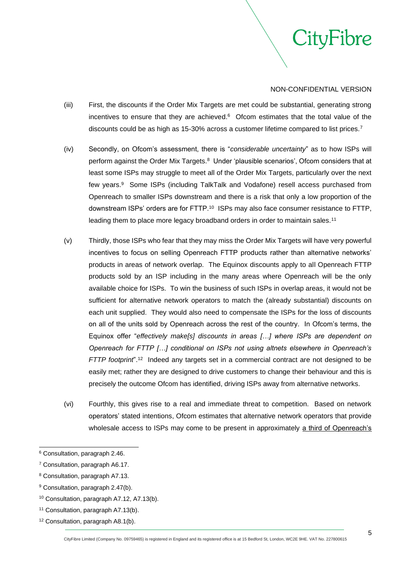

- (iii) First, the discounts if the Order Mix Targets are met could be substantial, generating strong incentives to ensure that they are achieved. $6$  Ofcom estimates that the total value of the discounts could be as high as 15-30% across a customer lifetime compared to list prices.<sup>7</sup>
- (iv) Secondly, on Ofcom's assessment, there is "*considerable uncertainty*" as to how ISPs will perform against the Order Mix Targets.<sup>8</sup> Under 'plausible scenarios', Ofcom considers that at least some ISPs may struggle to meet all of the Order Mix Targets, particularly over the next few years.<sup>9</sup> Some ISPs (including TalkTalk and Vodafone) resell access purchased from Openreach to smaller ISPs downstream and there is a risk that only a low proportion of the downstream ISPs' orders are for FTTP.<sup>10</sup> ISPs may also face consumer resistance to FTTP, leading them to place more legacy broadband orders in order to maintain sales.<sup>11</sup>
- (v) Thirdly, those ISPs who fear that they may miss the Order Mix Targets will have very powerful incentives to focus on selling Openreach FTTP products rather than alternative networks' products in areas of network overlap. The Equinox discounts apply to all Openreach FTTP products sold by an ISP including in the many areas where Openreach will be the only available choice for ISPs. To win the business of such ISPs in overlap areas, it would not be sufficient for alternative network operators to match the (already substantial) discounts on each unit supplied. They would also need to compensate the ISPs for the loss of discounts on all of the units sold by Openreach across the rest of the country. In Ofcom's terms, the Equinox offer "*effectively make[s] discounts in areas […] where ISPs are dependent on Openreach for FTTP […] conditional on ISPs not using altnets elsewhere in Openreach's FTTP footprint*".<sup>12</sup> Indeed any targets set in a commercial contract are not designed to be easily met; rather they are designed to drive customers to change their behaviour and this is precisely the outcome Ofcom has identified, driving ISPs away from alternative networks.
- (vi) Fourthly, this gives rise to a real and immediate threat to competition. Based on network operators' stated intentions, Ofcom estimates that alternative network operators that provide wholesale access to ISPs may come to be present in approximately a third of Openreach's

<sup>6</sup> Consultation, paragraph 2.46.

<sup>7</sup> Consultation, paragraph A6.17.

<sup>8</sup> Consultation, paragraph A7.13.

<sup>9</sup> Consultation, paragraph 2.47(b).

<sup>10</sup> Consultation, paragraph A7.12, A7.13(b).

<sup>11</sup> Consultation, paragraph A7.13(b).

<sup>12</sup> Consultation, paragraph A8.1(b).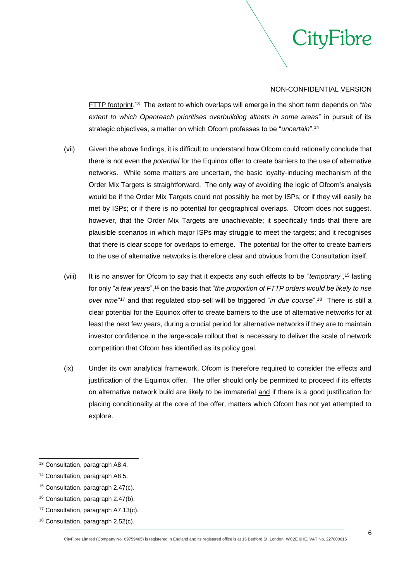

FTTP footprint. 13 The extent to which overlaps will emerge in the short term depends on "*the extent to which Openreach prioritises overbuilding altnets in some areas*" in pursuit of its strategic objectives, a matter on which Ofcom professes to be "*uncertain*".<sup>14</sup>

- (vii) Given the above findings, it is difficult to understand how Ofcom could rationally conclude that there is not even the *potential* for the Equinox offer to create barriers to the use of alternative networks. While some matters are uncertain, the basic loyalty-inducing mechanism of the Order Mix Targets is straightforward. The only way of avoiding the logic of Ofcom's analysis would be if the Order Mix Targets could not possibly be met by ISPs; or if they will easily be met by ISPs; or if there is no potential for geographical overlaps. Ofcom does not suggest, however, that the Order Mix Targets are unachievable; it specifically finds that there are plausible scenarios in which major ISPs may struggle to meet the targets; and it recognises that there is clear scope for overlaps to emerge. The potential for the offer to create barriers to the use of alternative networks is therefore clear and obvious from the Consultation itself.
- (viii) It is no answer for Ofcom to say that it expects any such effects to be "*temporary*",<sup>15</sup> lasting for only "*a few years*",<sup>16</sup> on the basis that "*the proportion of FTTP orders would be likely to rise*  over time<sup>"17</sup> and that regulated stop-sell will be triggered "*in due course*".<sup>18</sup> There is still a clear potential for the Equinox offer to create barriers to the use of alternative networks for at least the next few years, during a crucial period for alternative networks if they are to maintain investor confidence in the large-scale rollout that is necessary to deliver the scale of network competition that Ofcom has identified as its policy goal.
- (ix) Under its own analytical framework, Ofcom is therefore required to consider the effects and justification of the Equinox offer. The offer should only be permitted to proceed if its effects on alternative network build are likely to be immaterial and if there is a good justification for placing conditionality at the core of the offer, matters which Ofcom has not yet attempted to explore.

<sup>13</sup> Consultation, paragraph A8.4.

<sup>14</sup> Consultation, paragraph A8.5.

<sup>15</sup> Consultation, paragraph 2.47(c).

<sup>16</sup> Consultation, paragraph 2.47(b).

<sup>17</sup> Consultation, paragraph A7.13(c).

<sup>18</sup> Consultation, paragraph 2.52(c).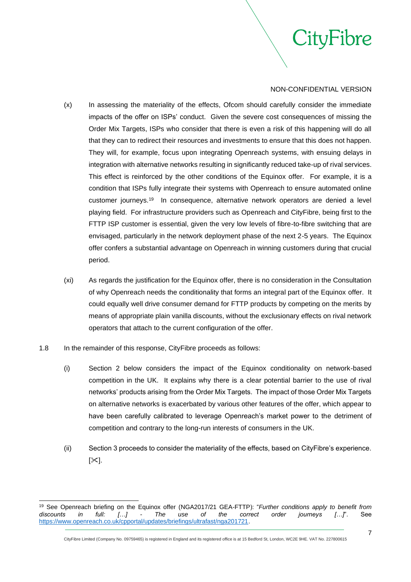

ityFibre

- (x) In assessing the materiality of the effects, Ofcom should carefully consider the immediate impacts of the offer on ISPs' conduct. Given the severe cost consequences of missing the Order Mix Targets, ISPs who consider that there is even a risk of this happening will do all that they can to redirect their resources and investments to ensure that this does not happen. They will, for example, focus upon integrating Openreach systems, with ensuing delays in integration with alternative networks resulting in significantly reduced take-up of rival services. This effect is reinforced by the other conditions of the Equinox offer. For example, it is a condition that ISPs fully integrate their systems with Openreach to ensure automated online customer journeys.<sup>19</sup> In consequence, alternative network operators are denied a level playing field. For infrastructure providers such as Openreach and CityFibre, being first to the FTTP ISP customer is essential, given the very low levels of fibre-to-fibre switching that are envisaged, particularly in the network deployment phase of the next 2-5 years. The Equinox offer confers a substantial advantage on Openreach in winning customers during that crucial period.
- (xi) As regards the justification for the Equinox offer, there is no consideration in the Consultation of why Openreach needs the conditionality that forms an integral part of the Equinox offer. It could equally well drive consumer demand for FTTP products by competing on the merits by means of appropriate plain vanilla discounts, without the exclusionary effects on rival network operators that attach to the current configuration of the offer.
- 1.8 In the remainder of this response, CityFibre proceeds as follows:
	- (i) Section 2 below considers the impact of the Equinox conditionality on network-based competition in the UK. It explains why there is a clear potential barrier to the use of rival networks' products arising from the Order Mix Targets. The impact of those Order Mix Targets on alternative networks is exacerbated by various other features of the offer, which appear to have been carefully calibrated to leverage Openreach's market power to the detriment of competition and contrary to the long-run interests of consumers in the UK.
	- (ii) Section 3 proceeds to consider the materiality of the effects, based on CityFibre's experience.  $[35]$ .

<sup>19</sup> See Openreach briefing on the Equinox offer (NGA2017/21 GEA-FTTP): "*Further conditions apply to benefit from discounts in full: […] - The use of the correct order journeys […]*". See [https://www.openreach.co.uk/cpportal/updates/briefings/ultrafast/nga201721.](https://www.openreach.co.uk/cpportal/updates/briefings/ultrafast/nga201721)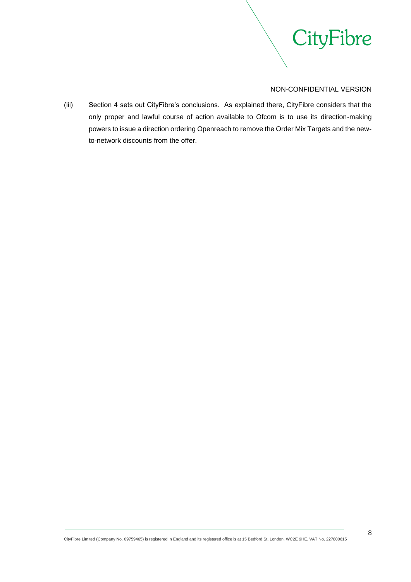

(iii) Section 4 sets out CityFibre's conclusions. As explained there, CityFibre considers that the only proper and lawful course of action available to Ofcom is to use its direction-making powers to issue a direction ordering Openreach to remove the Order Mix Targets and the newto-network discounts from the offer.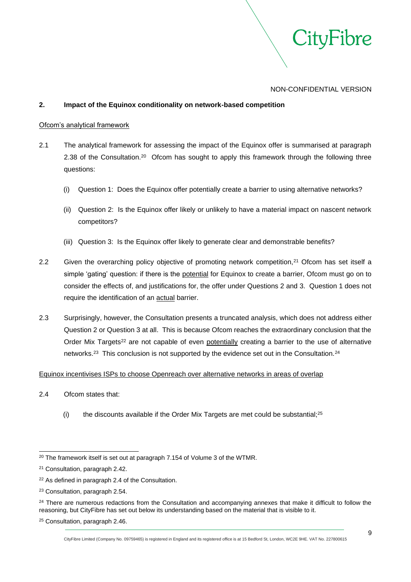

# <span id="page-8-0"></span>**2. Impact of the Equinox conditionality on network-based competition**

#### Ofcom's analytical framework

- 2.1 The analytical framework for assessing the impact of the Equinox offer is summarised at paragraph 2.38 of the Consultation.<sup>20</sup> Ofcom has sought to apply this framework through the following three questions:
	- (i) Question 1: Does the Equinox offer potentially create a barrier to using alternative networks?
	- (ii) Question 2: Is the Equinox offer likely or unlikely to have a material impact on nascent network competitors?
	- (iii) Question 3: Is the Equinox offer likely to generate clear and demonstrable benefits?
- 2.2 Given the overarching policy objective of promoting network competition,<sup>21</sup> Ofcom has set itself a simple 'gating' question: if there is the potential for Equinox to create a barrier, Ofcom must go on to consider the effects of, and justifications for, the offer under Questions 2 and 3. Question 1 does not require the identification of an actual barrier.
- 2.3 Surprisingly, however, the Consultation presents a truncated analysis, which does not address either Question 2 or Question 3 at all. This is because Ofcom reaches the extraordinary conclusion that the Order Mix Targets<sup>22</sup> are not capable of even potentially creating a barrier to the use of alternative networks.<sup>23</sup> This conclusion is not supported by the evidence set out in the Consultation.<sup>24</sup>

# Equinox incentivises ISPs to choose Openreach over alternative networks in areas of overlap

- 2.4 Ofcom states that:
	- (i) the discounts available if the Order Mix Targets are met could be substantial; $25$

<sup>&</sup>lt;sup>20</sup> The framework itself is set out at paragraph 7.154 of Volume 3 of the WTMR.

<sup>21</sup> Consultation, paragraph 2.42.

<sup>22</sup> As defined in paragraph 2.4 of the Consultation.

<sup>23</sup> Consultation, paragraph 2.54.

<sup>&</sup>lt;sup>24</sup> There are numerous redactions from the Consultation and accompanying annexes that make it difficult to follow the reasoning, but CityFibre has set out below its understanding based on the material that is visible to it.

<sup>25</sup> Consultation, paragraph 2.46.

CityFibre Limited (Company No. 09759465) is registered in England and its registered office is at 15 Bedford St, London, WC2E 9HE. VAT No. 227800615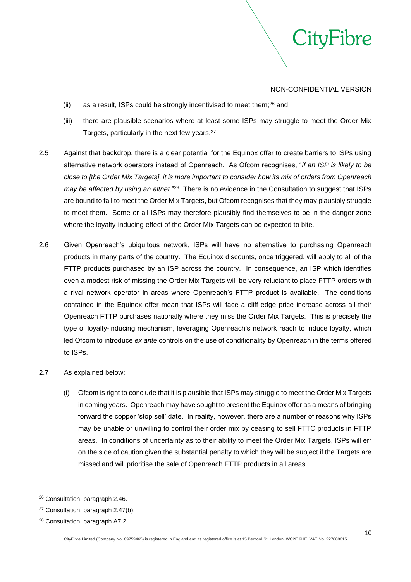

- (ii) as a result, ISPs could be strongly incentivised to meet them; $^{26}$  and
- (iii) there are plausible scenarios where at least some ISPs may struggle to meet the Order Mix Targets, particularly in the next few years.<sup>27</sup>
- 2.5 Against that backdrop, there is a clear potential for the Equinox offer to create barriers to ISPs using alternative network operators instead of Openreach. As Ofcom recognises, "*if an ISP is likely to be close to [the Order Mix Targets], it is more important to consider how its mix of orders from Openreach*  may be affected by using an altnet."<sup>28</sup> There is no evidence in the Consultation to suggest that ISPs are bound to fail to meet the Order Mix Targets, but Ofcom recognises that they may plausibly struggle to meet them. Some or all ISPs may therefore plausibly find themselves to be in the danger zone where the loyalty-inducing effect of the Order Mix Targets can be expected to bite.
- 2.6 Given Openreach's ubiquitous network, ISPs will have no alternative to purchasing Openreach products in many parts of the country. The Equinox discounts, once triggered, will apply to all of the FTTP products purchased by an ISP across the country. In consequence, an ISP which identifies even a modest risk of missing the Order Mix Targets will be very reluctant to place FTTP orders with a rival network operator in areas where Openreach's FTTP product is available. The conditions contained in the Equinox offer mean that ISPs will face a cliff-edge price increase across all their Openreach FTTP purchases nationally where they miss the Order Mix Targets. This is precisely the type of loyalty-inducing mechanism, leveraging Openreach's network reach to induce loyalty, which led Ofcom to introduce *ex ante* controls on the use of conditionality by Openreach in the terms offered to ISPs.
- 2.7 As explained below:
	- (i) Ofcom is right to conclude that it is plausible that ISPs may struggle to meet the Order Mix Targets in coming years. Openreach may have sought to present the Equinox offer as a means of bringing forward the copper 'stop sell' date. In reality, however, there are a number of reasons why ISPs may be unable or unwilling to control their order mix by ceasing to sell FTTC products in FTTP areas. In conditions of uncertainty as to their ability to meet the Order Mix Targets, ISPs will err on the side of caution given the substantial penalty to which they will be subject if the Targets are missed and will prioritise the sale of Openreach FTTP products in all areas.

<sup>26</sup> Consultation, paragraph 2.46.

<sup>27</sup> Consultation, paragraph 2.47(b).

<sup>28</sup> Consultation, paragraph A7.2.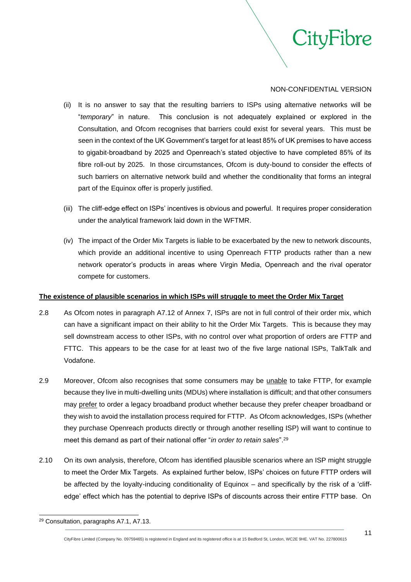

ityFibre

- <span id="page-10-0"></span>(ii) It is no answer to say that the resulting barriers to ISPs using alternative networks will be "*temporary*" in nature. This conclusion is not adequately explained or explored in the Consultation, and Ofcom recognises that barriers could exist for several years. This must be seen in the context of the UK Government's target for at least 85% of UK premises to have access to gigabit-broadband by 2025 and Openreach's stated objective to have completed 85% of its fibre roll-out by 2025. In those circumstances, Ofcom is duty-bound to consider the effects of such barriers on alternative network build and whether the conditionality that forms an integral part of the Equinox offer is properly justified.
- (iii) The cliff-edge effect on ISPs' incentives is obvious and powerful. It requires proper consideration under the analytical framework laid down in the WFTMR.
- (iv) The impact of the Order Mix Targets is liable to be exacerbated by the new to network discounts, which provide an additional incentive to using Openreach FTTP products rather than a new network operator's products in areas where Virgin Media, Openreach and the rival operator compete for customers.

# **The existence of plausible scenarios in which ISPs will struggle to meet the Order Mix Target**

- 2.8 As Ofcom notes in paragraph A7.12 of Annex 7, ISPs are not in full control of their order mix, which can have a significant impact on their ability to hit the Order Mix Targets. This is because they may sell downstream access to other ISPs, with no control over what proportion of orders are FTTP and FTTC. This appears to be the case for at least two of the five large national ISPs, TalkTalk and Vodafone.
- 2.9 Moreover, Ofcom also recognises that some consumers may be unable to take FTTP, for example because they live in multi-dwelling units (MDUs) where installation is difficult; and that other consumers may prefer to order a legacy broadband product whether because they prefer cheaper broadband or they wish to avoid the installation process required for FTTP. As Ofcom acknowledges, ISPs (whether they purchase Openreach products directly or through another reselling ISP) will want to continue to meet this demand as part of their national offer "*in order to retain sales*".<sup>29</sup>
- 2.10 On its own analysis, therefore, Ofcom has identified plausible scenarios where an ISP might struggle to meet the Order Mix Targets. As explained further below, ISPs' choices on future FTTP orders will be affected by the loyalty-inducing conditionality of Equinox – and specifically by the risk of a 'cliffedge' effect which has the potential to deprive ISPs of discounts across their entire FTTP base. On

<sup>29</sup> Consultation, paragraphs A7.1, A7.13.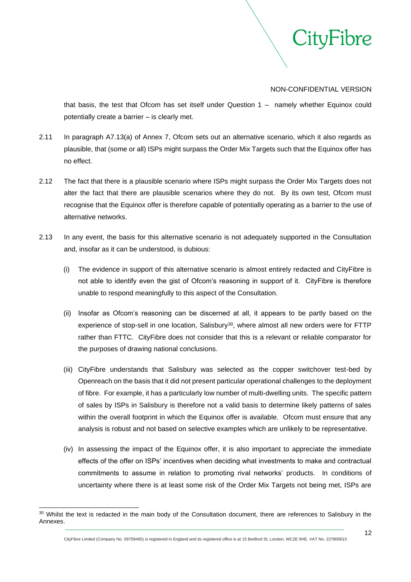

that basis, the test that Ofcom has set itself under Question 1 – namely whether Equinox could potentially create a barrier – is clearly met.

- 2.11 In paragraph A7.13(a) of Annex 7, Ofcom sets out an alternative scenario, which it also regards as plausible, that (some or all) ISPs might surpass the Order Mix Targets such that the Equinox offer has no effect.
- 2.12 The fact that there is a plausible scenario where ISPs might surpass the Order Mix Targets does not alter the fact that there are plausible scenarios where they do not. By its own test, Ofcom must recognise that the Equinox offer is therefore capable of potentially operating as a barrier to the use of alternative networks.
- 2.13 In any event, the basis for this alternative scenario is not adequately supported in the Consultation and, insofar as it can be understood, is dubious:
	- (i) The evidence in support of this alternative scenario is almost entirely redacted and CityFibre is not able to identify even the gist of Ofcom's reasoning in support of it. CityFibre is therefore unable to respond meaningfully to this aspect of the Consultation.
	- (ii) Insofar as Ofcom's reasoning can be discerned at all, it appears to be partly based on the experience of stop-sell in one location, Salisbury<sup>30</sup>, where almost all new orders were for FTTP rather than FTTC. CityFibre does not consider that this is a relevant or reliable comparator for the purposes of drawing national conclusions.
	- (iii) CityFibre understands that Salisbury was selected as the copper switchover test-bed by Openreach on the basis that it did not present particular operational challenges to the deployment of fibre. For example, it has a particularly low number of multi-dwelling units. The specific pattern of sales by ISPs in Salisbury is therefore not a valid basis to determine likely patterns of sales within the overall footprint in which the Equinox offer is available. Ofcom must ensure that any analysis is robust and not based on selective examples which are unlikely to be representative.
	- (iv) In assessing the impact of the Equinox offer, it is also important to appreciate the immediate effects of the offer on ISPs' incentives when deciding what investments to make and contractual commitments to assume in relation to promoting rival networks' products. In conditions of uncertainty where there is at least some risk of the Order Mix Targets not being met, ISPs are

<sup>&</sup>lt;sup>30</sup> Whilst the text is redacted in the main body of the Consultation document, there are references to Salisbury in the Annexes.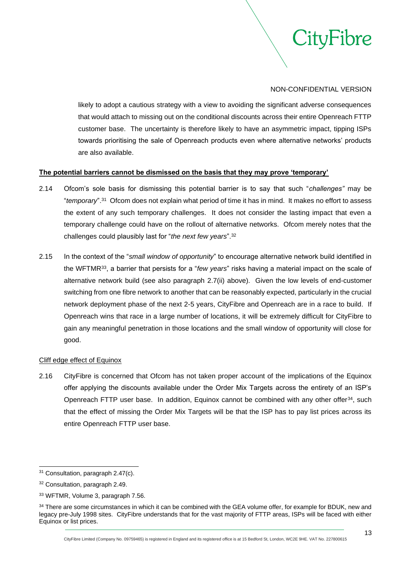

likely to adopt a cautious strategy with a view to avoiding the significant adverse consequences that would attach to missing out on the conditional discounts across their entire Openreach FTTP customer base. The uncertainty is therefore likely to have an asymmetric impact, tipping ISPs towards prioritising the sale of Openreach products even where alternative networks' products are also available.

## **The potential barriers cannot be dismissed on the basis that they may prove 'temporary'**

- 2.14 Ofcom's sole basis for dismissing this potential barrier is to say that such "*challenges"* may be "*temporary*".<sup>31</sup> Ofcom does not explain what period of time it has in mind. It makes no effort to assess the extent of any such temporary challenges. It does not consider the lasting impact that even a temporary challenge could have on the rollout of alternative networks. Ofcom merely notes that the challenges could plausibly last for "*the next few years*".<sup>32</sup>
- 2.15 In the context of the "*small window of opportunity*" to encourage alternative network build identified in the WFTMR<sup>33</sup>, a barrier that persists for a "*few years*" risks having a material impact on the scale of alternative network build (see also paragraph [2.7\(ii\)](#page-10-0) above). Given the low levels of end-customer switching from one fibre network to another that can be reasonably expected, particularly in the crucial network deployment phase of the next 2-5 years, CityFibre and Openreach are in a race to build. If Openreach wins that race in a large number of locations, it will be extremely difficult for CityFibre to gain any meaningful penetration in those locations and the small window of opportunity will close for good.

#### Cliff edge effect of Equinox

2.16 CityFibre is concerned that Ofcom has not taken proper account of the implications of the Equinox offer applying the discounts available under the Order Mix Targets across the entirety of an ISP's Openreach FTTP user base. In addition, Equinox cannot be combined with any other offer<sup>34</sup>, such that the effect of missing the Order Mix Targets will be that the ISP has to pay list prices across its entire Openreach FTTP user base.

<sup>31</sup> Consultation, paragraph 2.47(c).

<sup>32</sup> Consultation, paragraph 2.49.

<sup>33</sup> WFTMR, Volume 3, paragraph 7.56.

<sup>34</sup> There are some circumstances in which it can be combined with the GEA volume offer, for example for BDUK, new and legacy pre-July 1998 sites. CityFibre understands that for the vast majority of FTTP areas, ISPs will be faced with either Equinox or list prices.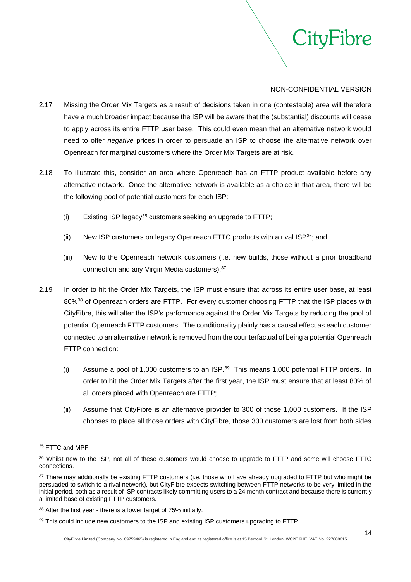

- 2.17 Missing the Order Mix Targets as a result of decisions taken in one (contestable) area will therefore have a much broader impact because the ISP will be aware that the (substantial) discounts will cease to apply across its entire FTTP user base. This could even mean that an alternative network would need to offer *negative* prices in order to persuade an ISP to choose the alternative network over Openreach for marginal customers where the Order Mix Targets are at risk.
- 2.18 To illustrate this, consider an area where Openreach has an FTTP product available before any alternative network. Once the alternative network is available as a choice in that area, there will be the following pool of potential customers for each ISP:
	- (i) Existing ISP legacy<sup>35</sup> customers seeking an upgrade to FTTP;
	- (ii) New ISP customers on legacy Openreach FTTC products with a rival ISP $36$ ; and
	- (iii) New to the Openreach network customers (i.e. new builds, those without a prior broadband connection and any Virgin Media customers).<sup>37</sup>
- 2.19 In order to hit the Order Mix Targets, the ISP must ensure that across its entire user base, at least 80%<sup>38</sup> of Openreach orders are FTTP. For every customer choosing FTTP that the ISP places with CityFibre, this will alter the ISP's performance against the Order Mix Targets by reducing the pool of potential Openreach FTTP customers. The conditionality plainly has a causal effect as each customer connected to an alternative network is removed from the counterfactual of being a potential Openreach FTTP connection:
	- (i) Assume a pool of 1,000 customers to an  $ISP.^{39}$  This means 1,000 potential FTTP orders. In order to hit the Order Mix Targets after the first year, the ISP must ensure that at least 80% of all orders placed with Openreach are FTTP;
	- (ii) Assume that CityFibre is an alternative provider to 300 of those 1,000 customers. If the ISP chooses to place all those orders with CityFibre, those 300 customers are lost from both sides

<sup>&</sup>lt;sup>35</sup> FTTC and MPF.

<sup>36</sup> Whilst new to the ISP, not all of these customers would choose to upgrade to FTTP and some will choose FTTC connections.

<sup>&</sup>lt;sup>37</sup> There may additionally be existing FTTP customers (i.e. those who have already upgraded to FTTP but who might be persuaded to switch to a rival network), but CityFibre expects switching between FTTP networks to be very limited in the initial period, both as a result of ISP contracts likely committing users to a 24 month contract and because there is currently a limited base of existing FTTP customers.

<sup>38</sup> After the first year - there is a lower target of 75% initially.

<sup>&</sup>lt;sup>39</sup> This could include new customers to the ISP and existing ISP customers upgrading to FTTP.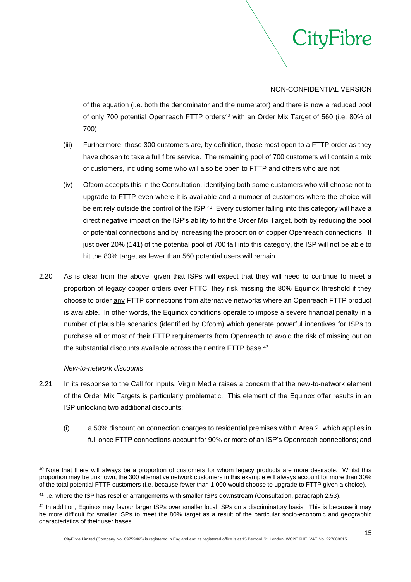

of the equation (i.e. both the denominator and the numerator) and there is now a reduced pool of only 700 potential Openreach FTTP orders <sup>40</sup> with an Order Mix Target of 560 (i.e. 80% of 700)

- (iii) Furthermore, those 300 customers are, by definition, those most open to a FTTP order as they have chosen to take a full fibre service. The remaining pool of 700 customers will contain a mix of customers, including some who will also be open to FTTP and others who are not;
- (iv) Ofcom accepts this in the Consultation, identifying both some customers who will choose not to upgrade to FTTP even where it is available and a number of customers where the choice will be entirely outside the control of the ISP.<sup>41</sup> Every customer falling into this category will have a direct negative impact on the ISP's ability to hit the Order Mix Target, both by reducing the pool of potential connections and by increasing the proportion of copper Openreach connections. If just over 20% (141) of the potential pool of 700 fall into this category, the ISP will not be able to hit the 80% target as fewer than 560 potential users will remain.
- 2.20 As is clear from the above, given that ISPs will expect that they will need to continue to meet a proportion of legacy copper orders over FTTC, they risk missing the 80% Equinox threshold if they choose to order any FTTP connections from alternative networks where an Openreach FTTP product is available. In other words, the Equinox conditions operate to impose a severe financial penalty in a number of plausible scenarios (identified by Ofcom) which generate powerful incentives for ISPs to purchase all or most of their FTTP requirements from Openreach to avoid the risk of missing out on the substantial discounts available across their entire FTTP base.<sup>42</sup>

#### *New-to-network discounts*

- 2.21 In its response to the Call for Inputs, Virgin Media raises a concern that the new-to-network element of the Order Mix Targets is particularly problematic. This element of the Equinox offer results in an ISP unlocking two additional discounts:
	- (i) a 50% discount on connection charges to residential premises within Area 2, which applies in full once FTTP connections account for 90% or more of an ISP's Openreach connections; and

<sup>&</sup>lt;sup>40</sup> Note that there will always be a proportion of customers for whom legacy products are more desirable. Whilst this proportion may be unknown, the 300 alternative network customers in this example will always account for more than 30% of the total potential FTTP customers (i.e. because fewer than 1,000 would choose to upgrade to FTTP given a choice).

<sup>41</sup> i.e. where the ISP has reseller arrangements with smaller ISPs downstream (Consultation, paragraph 2.53).

<sup>42</sup> In addition, Equinox may favour larger ISPs over smaller local ISPs on a discriminatory basis. This is because it may be more difficult for smaller ISPs to meet the 80% target as a result of the particular socio-economic and geographic characteristics of their user bases.

CityFibre Limited (Company No. 09759465) is registered in England and its registered office is at 15 Bedford St, London, WC2E 9HE. VAT No. 227800615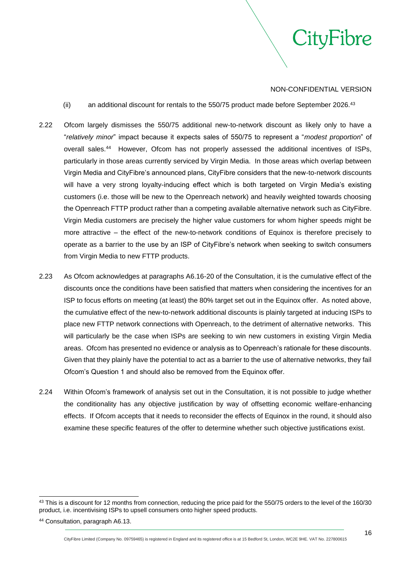

- (ii) an additional discount for rentals to the 550/75 product made before September 2026.<sup>43</sup>
- 2.22 Ofcom largely dismisses the 550/75 additional new-to-network discount as likely only to have a "*relatively minor*" impact because it expects sales of 550/75 to represent a "*modest proportion*" of overall sales.<sup>44</sup> However, Ofcom has not properly assessed the additional incentives of ISPs, particularly in those areas currently serviced by Virgin Media. In those areas which overlap between Virgin Media and CityFibre's announced plans, CityFibre considers that the new-to-network discounts will have a very strong loyalty-inducing effect which is both targeted on Virgin Media's existing customers (i.e. those will be new to the Openreach network) and heavily weighted towards choosing the Openreach FTTP product rather than a competing available alternative network such as CityFibre. Virgin Media customers are precisely the higher value customers for whom higher speeds might be more attractive – the effect of the new-to-network conditions of Equinox is therefore precisely to operate as a barrier to the use by an ISP of CityFibre's network when seeking to switch consumers from Virgin Media to new FTTP products.
- 2.23 As Ofcom acknowledges at paragraphs A6.16-20 of the Consultation, it is the cumulative effect of the discounts once the conditions have been satisfied that matters when considering the incentives for an ISP to focus efforts on meeting (at least) the 80% target set out in the Equinox offer. As noted above, the cumulative effect of the new-to-network additional discounts is plainly targeted at inducing ISPs to place new FTTP network connections with Openreach, to the detriment of alternative networks. This will particularly be the case when ISPs are seeking to win new customers in existing Virgin Media areas. Ofcom has presented no evidence or analysis as to Openreach's rationale for these discounts. Given that they plainly have the potential to act as a barrier to the use of alternative networks, they fail Ofcom's Question 1 and should also be removed from the Equinox offer.
- 2.24 Within Ofcom's framework of analysis set out in the Consultation, it is not possible to judge whether the conditionality has any objective justification by way of offsetting economic welfare-enhancing effects. If Ofcom accepts that it needs to reconsider the effects of Equinox in the round, it should also examine these specific features of the offer to determine whether such objective justifications exist.

CityFibre Limited (Company No. 09759465) is registered in England and its registered office is at 15 Bedford St, London, WC2E 9HE. VAT No. 227800615

<sup>&</sup>lt;sup>43</sup> This is a discount for 12 months from connection, reducing the price paid for the 550/75 orders to the level of the 160/30 product, i.e. incentivising ISPs to upsell consumers onto higher speed products.

<sup>44</sup> Consultation, paragraph A6.13.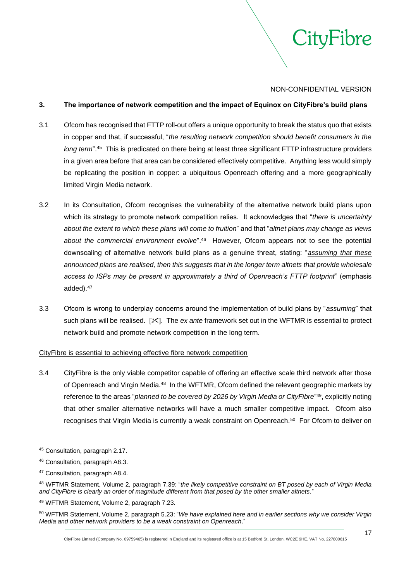

# <span id="page-16-0"></span>**3. The importance of network competition and the impact of Equinox on CityFibre's build plans**

- 3.1 Ofcom has recognised that FTTP roll-out offers a unique opportunity to break the status quo that exists in copper and that, if successful, "*the resulting network competition should benefit consumers in the*  long term<sup>".45</sup> This is predicated on there being at least three significant FTTP infrastructure providers in a given area before that area can be considered effectively competitive. Anything less would simply be replicating the position in copper: a ubiquitous Openreach offering and a more geographically limited Virgin Media network.
- 3.2 In its Consultation, Ofcom recognises the vulnerability of the alternative network build plans upon which its strategy to promote network competition relies. It acknowledges that "*there is uncertainty about the extent to which these plans will come to fruition*" and that "*altnet plans may change as views*  about the commercial environment evolve<sup>", 46</sup> However, Ofcom appears not to see the potential downscaling of alternative network build plans as a genuine threat, stating: "*assuming that these announced plans are realised, then this suggests that in the longer term altnets that provide wholesale access to ISPs may be present in approximately a third of Openreach's FTTP footprint*" (emphasis added).<sup>47</sup>
- 3.3 Ofcom is wrong to underplay concerns around the implementation of build plans by "*assuming*" that such plans will be realised. [ $\leq$ ]. The *ex ante* framework set out in the WFTMR is essential to protect network build and promote network competition in the long term.

#### CityFibre is essential to achieving effective fibre network competition

3.4 CityFibre is the only viable competitor capable of offering an effective scale third network after those of Openreach and Virgin Media.<sup>48</sup> In the WFTMR, Ofcom defined the relevant geographic markets by reference to the areas "*planned to be covered by 2026 by Virgin Media or CityFibre*" <sup>49</sup>, explicitly noting that other smaller alternative networks will have a much smaller competitive impact. Ofcom also recognises that Virgin Media is currently a weak constraint on Openreach.<sup>50</sup> For Ofcom to deliver on

<sup>45</sup> Consultation, paragraph 2.17.

<sup>46</sup> Consultation, paragraph A8.3.

<sup>47</sup> Consultation, paragraph A8.4.

<sup>48</sup> WFTMR Statement, Volume 2, paragraph 7.39: "*the likely competitive constraint on BT posed by each of Virgin Media and CityFibre is clearly an order of magnitude different from that posed by the other smaller altnets.*"

<sup>49</sup> WFTMR Statement, Volume 2, paragraph 7.23.

<sup>50</sup> WFTMR Statement, Volume 2, paragraph 5.23: "*We have explained here and in earlier sections why we consider Virgin Media and other network providers to be a weak constraint on Openreach*."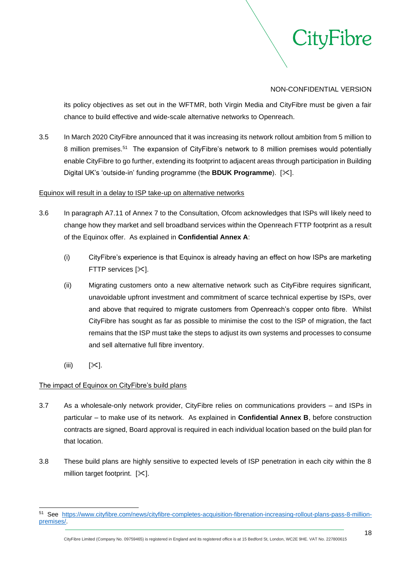

its policy objectives as set out in the WFTMR, both Virgin Media and CityFibre must be given a fair chance to build effective and wide-scale alternative networks to Openreach.

3.5 In March 2020 CityFibre announced that it was increasing its network rollout ambition from 5 million to 8 million premises.<sup>51</sup> The expansion of CityFibre's network to 8 million premises would potentially enable CityFibre to go further, extending its footprint to adjacent areas through participation in Building Digital UK's 'outside-in' funding programme (the **BDUK Programme**). [ $\angle$ ].

# Equinox will result in a delay to ISP take-up on alternative networks

- 3.6 In paragraph A7.11 of Annex 7 to the Consultation, Ofcom acknowledges that ISPs will likely need to change how they market and sell broadband services within the Openreach FTTP footprint as a result of the Equinox offer. As explained in **Confidential Annex A**:
	- (i) CityFibre's experience is that Equinox is already having an effect on how ISPs are marketing FTTP services [ $\ge$ ].
	- (ii) Migrating customers onto a new alternative network such as CityFibre requires significant, unavoidable upfront investment and commitment of scarce technical expertise by ISPs, over and above that required to migrate customers from Openreach's copper onto fibre. Whilst CityFibre has sought as far as possible to minimise the cost to the ISP of migration, the fact remains that the ISP must take the steps to adjust its own systems and processes to consume and sell alternative full fibre inventory.
	- $(iii)$   $[\times]$ .

# The impact of Equinox on CityFibre's build plans

- 3.7 As a wholesale-only network provider, CityFibre relies on communications providers and ISPs in particular – to make use of its network. As explained in **Confidential Annex B**, before construction contracts are signed, Board approval is required in each individual location based on the build plan for that location.
- 3.8 These build plans are highly sensitive to expected levels of ISP penetration in each city within the 8 million target footprint.  $[\times]$ .

<sup>51</sup> See [https://www.cityfibre.com/news/cityfibre-completes-acquisition-fibrenation-increasing-rollout-plans-pass-8-million](https://www.cityfibre.com/news/cityfibre-completes-acquisition-fibrenation-increasing-rollout-plans-pass-8-million-premises/)[premises/.](https://www.cityfibre.com/news/cityfibre-completes-acquisition-fibrenation-increasing-rollout-plans-pass-8-million-premises/)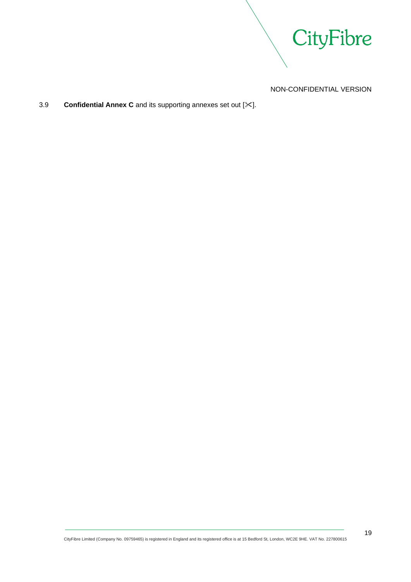

# 3.9 **Confidential Annex C** and its supporting annexes set out [ $\angle$ ].

CityFibre Limited (Company No. 09759465) is registered in England and its registered office is at 15 Bedford St, London, WC2E 9HE. VAT No. 227800615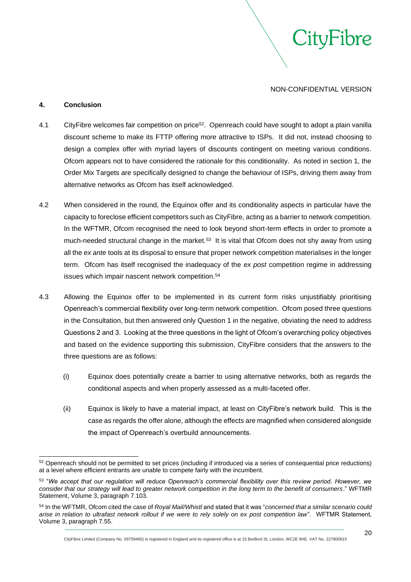'ityFibre

#### <span id="page-19-0"></span>**4. Conclusion**

- 4.1 CityFibre welcomes fair competition on price<sup>52</sup>. Openreach could have sought to adopt a plain vanilla discount scheme to make its FTTP offering more attractive to ISPs. It did not, instead choosing to design a complex offer with myriad layers of discounts contingent on meeting various conditions. Ofcom appears not to have considered the rationale for this conditionality. As noted in section 1, the Order Mix Targets are specifically designed to change the behaviour of ISPs, driving them away from alternative networks as Ofcom has itself acknowledged.
- 4.2 When considered in the round, the Equinox offer and its conditionality aspects in particular have the capacity to foreclose efficient competitors such as CityFibre, acting as a barrier to network competition. In the WFTMR, Ofcom recognised the need to look beyond short-term effects in order to promote a much-needed structural change in the market.<sup>53</sup> It is vital that Ofcom does not shy away from using all the *ex ante* tools at its disposal to ensure that proper network competition materialises in the longer term. Ofcom has itself recognised the inadequacy of the *ex post* competition regime in addressing issues which impair nascent network competition.<sup>54</sup>
- 4.3 Allowing the Equinox offer to be implemented in its current form risks unjustifiably prioritising Openreach's commercial flexibility over long-term network competition. Ofcom posed three questions in the Consultation, but then answered only Question 1 in the negative, obviating the need to address Questions 2 and 3. Looking at the three questions in the light of Ofcom's overarching policy objectives and based on the evidence supporting this submission, CityFibre considers that the answers to the three questions are as follows:
	- (i) Equinox does potentially create a barrier to using alternative networks, both as regards the conditional aspects and when properly assessed as a multi-faceted offer.
	- (ii) Equinox is likely to have a material impact, at least on CityFibre's network build. This is the case as regards the offer alone, although the effects are magnified when considered alongside the impact of Openreach's overbuild announcements.

CityFibre Limited (Company No. 09759465) is registered in England and its registered office is at 15 Bedford St, London, WC2E 9HE. VAT No. 227800615

<sup>52</sup> Openreach should not be permitted to set prices (including if introduced via a series of consequential price reductions) at a level where efficient entrants are unable to compete fairly with the incumbent.

<sup>53</sup> "*We accept that our regulation will reduce Openreach's commercial flexibility over this review period. However, we consider that our strategy will lead to greater network competition in the long term to the benefit of consumers*." WFTMR Statement, Volume 3, paragraph 7.103.

<sup>54</sup> In the WFTMR, Ofcom cited the case of *Royal Mail/Whistl* and stated that it was "*concerned that a similar scenario could arise in relation to ultrafast network rollout if we were to rely solely on ex post competition law*". WFTMR Statement, Volume 3, paragraph 7.55.